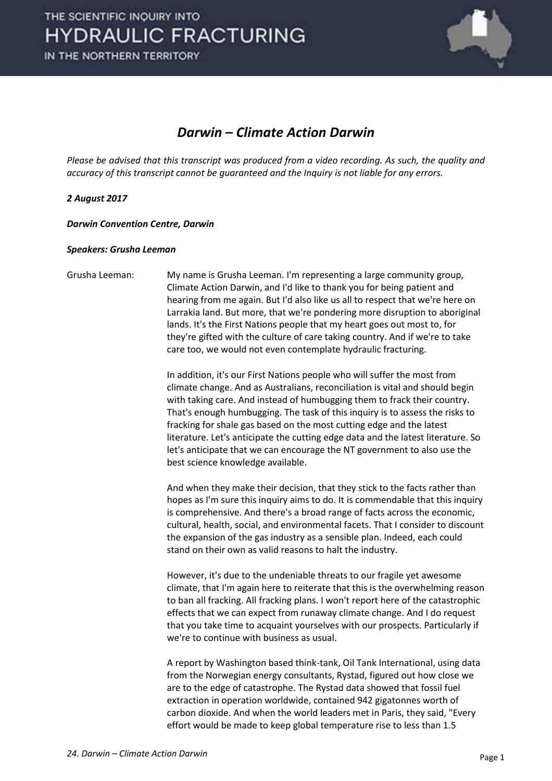

### *Darwin – Climate Action Darwin*

*Please be advised that this transcript was produced from a video recording. As such, the quality and accuracy of this transcript cannot be guaranteed and the Inquiry is not liable for any errors.*

#### *2 August 2017*

*Darwin Convention Centre, Darwin* 

#### *Speakers: Grusha Leeman*

Grusha Leeman: My name is Grusha Leeman. I'm representing a large community group, Climate Action Darwin, and I'd like to thank you for being patient and hearing from me again. But I'd also like us all to respect that we're here on Larrakia land. But more, that we're pondering more disruption to aboriginal lands. It's the First Nations people that my heart goes out most to, for they're gifted with the culture of care taking country. And if we're to take care too, we would not even contemplate hydraulic fracturing. In addition, it's our First Nations people who will suffer the most from climate change. And as Australians, reconciliation is vital and should begin

with taking care. And instead of humbugging them to frack their country. That's enough humbugging. The task of this inquiry is to assess the risks to fracking for shale gas based on the most cutting edge and the latest literature. Let's anticipate the cutting edge data and the latest literature. So let's anticipate that we can encourage the NT government to also use the best science knowledge available.

 And when they make their decision, that they stick to the facts rather than hopes as I'm sure this inquiry aims to do. It is commendable that this inquiry is comprehensive. And there's a broad range of facts across the economic, cultural, health, social, and environmental facets. That I consider to discount the expansion of the gas industry as a sensible plan. Indeed, each could stand on their own as valid reasons to halt the industry.

 However, it's due to the undeniable threats to our fragile yet awesome climate, that I'm again here to reiterate that this is the overwhelming reason to ban all fracking. All fracking plans. I won't report here of the catastrophic effects that we can expect from runaway climate change. And I do request that you take time to acquaint yourselves with our prospects. Particularly if we're to continue with business as usual.

 A report by Washington based think-tank, Oil Tank International, using data from the Norwegian energy consultants, Rystad, figured out how close we are to the edge of catastrophe. The Rystad data showed that fossil fuel extraction in operation worldwide, contained 942 gigatonnes worth of carbon dioxide. And when the world leaders met in Paris, they said, "Every effort would be made to keep global temperature rise to less than 1.5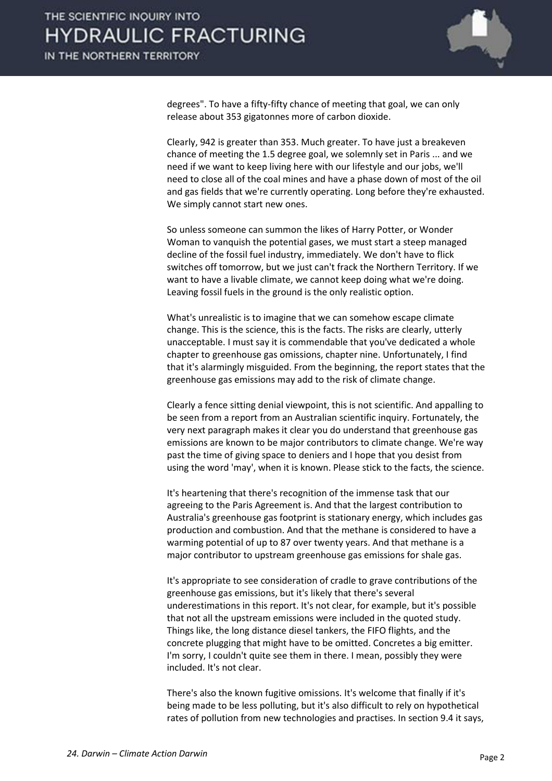

degrees". To have a fifty-fifty chance of meeting that goal, we can only release about 353 gigatonnes more of carbon dioxide.

 Clearly, 942 is greater than 353. Much greater. To have just a breakeven chance of meeting the 1.5 degree goal, we solemnly set in Paris ... and we need if we want to keep living here with our lifestyle and our jobs, we'll need to close all of the coal mines and have a phase down of most of the oil and gas fields that we're currently operating. Long before they're exhausted. We simply cannot start new ones.

 So unless someone can summon the likes of Harry Potter, or Wonder Woman to vanquish the potential gases, we must start a steep managed decline of the fossil fuel industry, immediately. We don't have to flick switches off tomorrow, but we just can't frack the Northern Territory. If we want to have a livable climate, we cannot keep doing what we're doing. Leaving fossil fuels in the ground is the only realistic option.

 What's unrealistic is to imagine that we can somehow escape climate change. This is the science, this is the facts. The risks are clearly, utterly unacceptable. I must say it is commendable that you've dedicated a whole chapter to greenhouse gas omissions, chapter nine. Unfortunately, I find that it's alarmingly misguided. From the beginning, the report states that the greenhouse gas emissions may add to the risk of climate change.

 Clearly a fence sitting denial viewpoint, this is not scientific. And appalling to be seen from a report from an Australian scientific inquiry. Fortunately, the very next paragraph makes it clear you do understand that greenhouse gas emissions are known to be major contributors to climate change. We're way past the time of giving space to deniers and I hope that you desist from using the word 'may', when it is known. Please stick to the facts, the science.

 It's heartening that there's recognition of the immense task that our agreeing to the Paris Agreement is. And that the largest contribution to Australia's greenhouse gas footprint is stationary energy, which includes gas production and combustion. And that the methane is considered to have a warming potential of up to 87 over twenty years. And that methane is a major contributor to upstream greenhouse gas emissions for shale gas.

 It's appropriate to see consideration of cradle to grave contributions of the greenhouse gas emissions, but it's likely that there's several underestimations in this report. It's not clear, for example, but it's possible that not all the upstream emissions were included in the quoted study. Things like, the long distance diesel tankers, the FIFO flights, and the concrete plugging that might have to be omitted. Concretes a big emitter. I'm sorry, I couldn't quite see them in there. I mean, possibly they were included. It's not clear.

 There's also the known fugitive omissions. It's welcome that finally if it's being made to be less polluting, but it's also difficult to rely on hypothetical rates of pollution from new technologies and practises. In section 9.4 it says,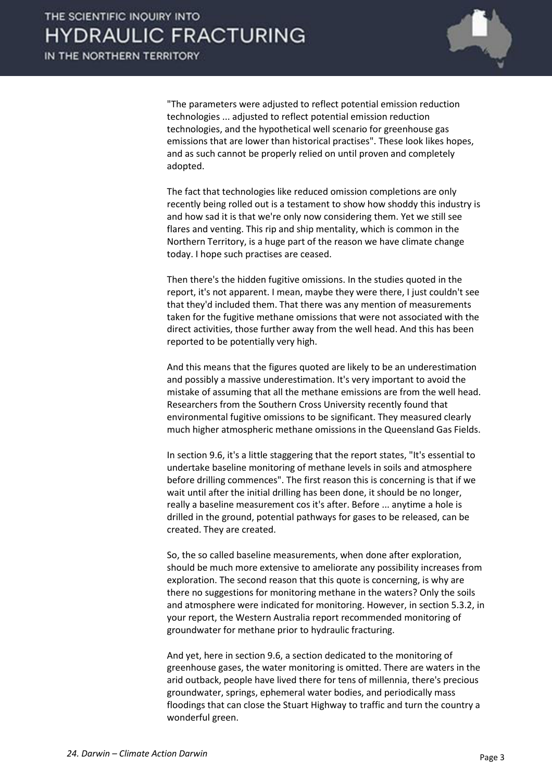

"The parameters were adjusted to reflect potential emission reduction technologies ... adjusted to reflect potential emission reduction technologies, and the hypothetical well scenario for greenhouse gas emissions that are lower than historical practises". These look likes hopes, and as such cannot be properly relied on until proven and completely adopted.

 The fact that technologies like reduced omission completions are only recently being rolled out is a testament to show how shoddy this industry is and how sad it is that we're only now considering them. Yet we still see flares and venting. This rip and ship mentality, which is common in the Northern Territory, is a huge part of the reason we have climate change today. I hope such practises are ceased.

 Then there's the hidden fugitive omissions. In the studies quoted in the report, it's not apparent. I mean, maybe they were there, I just couldn't see that they'd included them. That there was any mention of measurements taken for the fugitive methane omissions that were not associated with the direct activities, those further away from the well head. And this has been reported to be potentially very high.

 And this means that the figures quoted are likely to be an underestimation and possibly a massive underestimation. It's very important to avoid the mistake of assuming that all the methane emissions are from the well head. Researchers from the Southern Cross University recently found that environmental fugitive omissions to be significant. They measured clearly much higher atmospheric methane omissions in the Queensland Gas Fields.

 In section 9.6, it's a little staggering that the report states, "It's essential to undertake baseline monitoring of methane levels in soils and atmosphere before drilling commences". The first reason this is concerning is that if we wait until after the initial drilling has been done, it should be no longer, really a baseline measurement cos it's after. Before ... anytime a hole is drilled in the ground, potential pathways for gases to be released, can be created. They are created.

 So, the so called baseline measurements, when done after exploration, should be much more extensive to ameliorate any possibility increases from exploration. The second reason that this quote is concerning, is why are there no suggestions for monitoring methane in the waters? Only the soils and atmosphere were indicated for monitoring. However, in section 5.3.2, in your report, the Western Australia report recommended monitoring of groundwater for methane prior to hydraulic fracturing.

 And yet, here in section 9.6, a section dedicated to the monitoring of greenhouse gases, the water monitoring is omitted. There are waters in the arid outback, people have lived there for tens of millennia, there's precious groundwater, springs, ephemeral water bodies, and periodically mass floodings that can close the Stuart Highway to traffic and turn the country a wonderful green.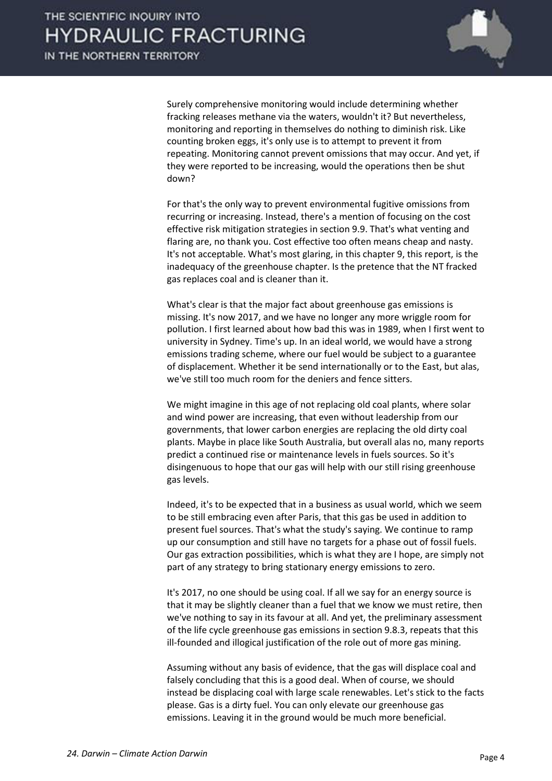

 Surely comprehensive monitoring would include determining whether fracking releases methane via the waters, wouldn't it? But nevertheless, monitoring and reporting in themselves do nothing to diminish risk. Like counting broken eggs, it's only use is to attempt to prevent it from repeating. Monitoring cannot prevent omissions that may occur. And yet, if they were reported to be increasing, would the operations then be shut down?

 For that's the only way to prevent environmental fugitive omissions from recurring or increasing. Instead, there's a mention of focusing on the cost effective risk mitigation strategies in section 9.9. That's what venting and flaring are, no thank you. Cost effective too often means cheap and nasty. It's not acceptable. What's most glaring, in this chapter 9, this report, is the inadequacy of the greenhouse chapter. Is the pretence that the NT fracked gas replaces coal and is cleaner than it.

 What's clear is that the major fact about greenhouse gas emissions is missing. It's now 2017, and we have no longer any more wriggle room for pollution. I first learned about how bad this was in 1989, when I first went to university in Sydney. Time's up. In an ideal world, we would have a strong emissions trading scheme, where our fuel would be subject to a guarantee of displacement. Whether it be send internationally or to the East, but alas, we've still too much room for the deniers and fence sitters.

 We might imagine in this age of not replacing old coal plants, where solar and wind power are increasing, that even without leadership from our governments, that lower carbon energies are replacing the old dirty coal plants. Maybe in place like South Australia, but overall alas no, many reports predict a continued rise or maintenance levels in fuels sources. So it's disingenuous to hope that our gas will help with our still rising greenhouse gas levels.

 Indeed, it's to be expected that in a business as usual world, which we seem to be still embracing even after Paris, that this gas be used in addition to present fuel sources. That's what the study's saying. We continue to ramp up our consumption and still have no targets for a phase out of fossil fuels. Our gas extraction possibilities, which is what they are I hope, are simply not part of any strategy to bring stationary energy emissions to zero.

 It's 2017, no one should be using coal. If all we say for an energy source is that it may be slightly cleaner than a fuel that we know we must retire, then we've nothing to say in its favour at all. And yet, the preliminary assessment of the life cycle greenhouse gas emissions in section 9.8.3, repeats that this ill-founded and illogical justification of the role out of more gas mining.

 Assuming without any basis of evidence, that the gas will displace coal and falsely concluding that this is a good deal. When of course, we should instead be displacing coal with large scale renewables. Let's stick to the facts please. Gas is a dirty fuel. You can only elevate our greenhouse gas emissions. Leaving it in the ground would be much more beneficial.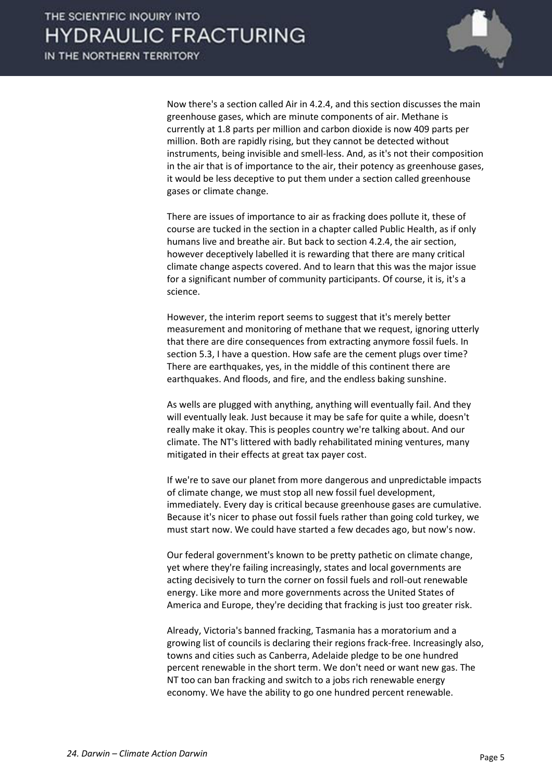

 Now there's a section called Air in 4.2.4, and this section discusses the main greenhouse gases, which are minute components of air. Methane is currently at 1.8 parts per million and carbon dioxide is now 409 parts per million. Both are rapidly rising, but they cannot be detected without instruments, being invisible and smell-less. And, as it's not their composition in the air that is of importance to the air, their potency as greenhouse gases, it would be less deceptive to put them under a section called greenhouse gases or climate change.

 There are issues of importance to air as fracking does pollute it, these of course are tucked in the section in a chapter called Public Health, as if only humans live and breathe air. But back to section 4.2.4, the air section, however deceptively labelled it is rewarding that there are many critical climate change aspects covered. And to learn that this was the major issue for a significant number of community participants. Of course, it is, it's a science.

 However, the interim report seems to suggest that it's merely better measurement and monitoring of methane that we request, ignoring utterly that there are dire consequences from extracting anymore fossil fuels. In section 5.3, I have a question. How safe are the cement plugs over time? There are earthquakes, yes, in the middle of this continent there are earthquakes. And floods, and fire, and the endless baking sunshine.

 As wells are plugged with anything, anything will eventually fail. And they will eventually leak. Just because it may be safe for quite a while, doesn't really make it okay. This is peoples country we're talking about. And our climate. The NT's littered with badly rehabilitated mining ventures, many mitigated in their effects at great tax payer cost.

 If we're to save our planet from more dangerous and unpredictable impacts of climate change, we must stop all new fossil fuel development, immediately. Every day is critical because greenhouse gases are cumulative. Because it's nicer to phase out fossil fuels rather than going cold turkey, we must start now. We could have started a few decades ago, but now's now.

 Our federal government's known to be pretty pathetic on climate change, yet where they're failing increasingly, states and local governments are acting decisively to turn the corner on fossil fuels and roll-out renewable energy. Like more and more governments across the United States of America and Europe, they're deciding that fracking is just too greater risk.

 Already, Victoria's banned fracking, Tasmania has a moratorium and a growing list of councils is declaring their regions frack-free. Increasingly also, towns and cities such as Canberra, Adelaide pledge to be one hundred percent renewable in the short term. We don't need or want new gas. The NT too can ban fracking and switch to a jobs rich renewable energy economy. We have the ability to go one hundred percent renewable.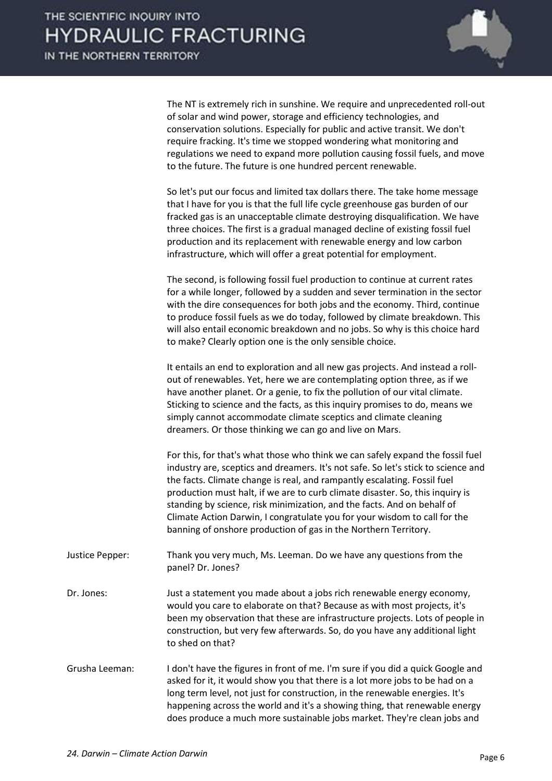IN THE NORTHERN TERRITORY



 The NT is extremely rich in sunshine. We require and unprecedented roll-out of solar and wind power, storage and efficiency technologies, and conservation solutions. Especially for public and active transit. We don't require fracking. It's time we stopped wondering what monitoring and regulations we need to expand more pollution causing fossil fuels, and move to the future. The future is one hundred percent renewable.

 So let's put our focus and limited tax dollars there. The take home message that I have for you is that the full life cycle greenhouse gas burden of our fracked gas is an unacceptable climate destroying disqualification. We have three choices. The first is a gradual managed decline of existing fossil fuel production and its replacement with renewable energy and low carbon infrastructure, which will offer a great potential for employment.

 The second, is following fossil fuel production to continue at current rates for a while longer, followed by a sudden and sever termination in the sector with the dire consequences for both jobs and the economy. Third, continue to produce fossil fuels as we do today, followed by climate breakdown. This will also entail economic breakdown and no jobs. So why is this choice hard to make? Clearly option one is the only sensible choice.

 It entails an end to exploration and all new gas projects. And instead a rollout of renewables. Yet, here we are contemplating option three, as if we have another planet. Or a genie, to fix the pollution of our vital climate. Sticking to science and the facts, as this inquiry promises to do, means we simply cannot accommodate climate sceptics and climate cleaning dreamers. Or those thinking we can go and live on Mars.

 For this, for that's what those who think we can safely expand the fossil fuel industry are, sceptics and dreamers. It's not safe. So let's stick to science and the facts. Climate change is real, and rampantly escalating. Fossil fuel production must halt, if we are to curb climate disaster. So, this inquiry is standing by science, risk minimization, and the facts. And on behalf of Climate Action Darwin, I congratulate you for your wisdom to call for the banning of onshore production of gas in the Northern Territory.

- Justice Pepper: Thank you very much, Ms. Leeman. Do we have any questions from the panel? Dr. Jones?
- Dr. Jones: Just a statement you made about a jobs rich renewable energy economy, would you care to elaborate on that? Because as with most projects, it's been my observation that these are infrastructure projects. Lots of people in construction, but very few afterwards. So, do you have any additional light to shed on that?
- Grusha Leeman: I don't have the figures in front of me. I'm sure if you did a quick Google and asked for it, it would show you that there is a lot more jobs to be had on a long term level, not just for construction, in the renewable energies. It's happening across the world and it's a showing thing, that renewable energy does produce a much more sustainable jobs market. They're clean jobs and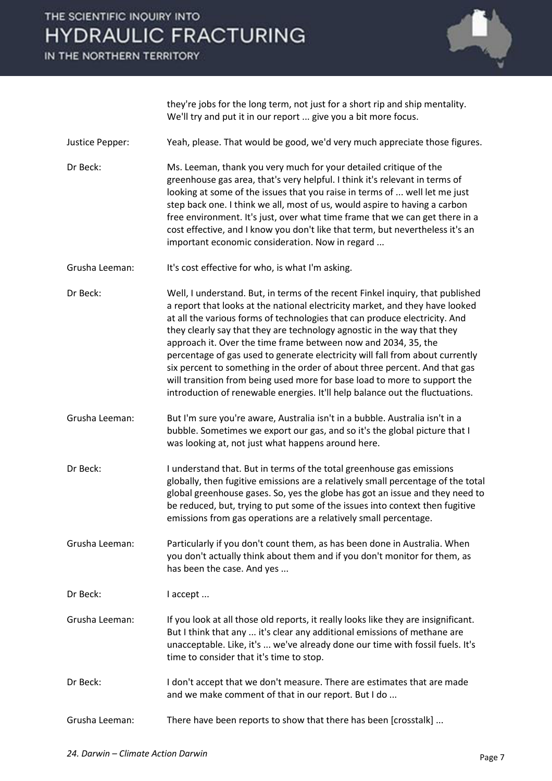# THE SCIENTIFIC INQUIRY INTO **HYDRAULIC FRACTURING**

IN THE NORTHERN TERRITORY



they're jobs for the long term, not just for a short rip and ship mentality. We'll try and put it in our report ... give you a bit more focus.

- Justice Pepper: Yeah, please. That would be good, we'd very much appreciate those figures.
- Dr Beck: Ms. Leeman, thank you very much for your detailed critique of the greenhouse gas area, that's very helpful. I think it's relevant in terms of looking at some of the issues that you raise in terms of ... well let me just step back one. I think we all, most of us, would aspire to having a carbon free environment. It's just, over what time frame that we can get there in a cost effective, and I know you don't like that term, but nevertheless it's an important economic consideration. Now in regard ...
- Grusha Leeman: It's cost effective for who, is what I'm asking.
- Dr Beck: Well, I understand. But, in terms of the recent Finkel inquiry, that published a report that looks at the national electricity market, and they have looked at all the various forms of technologies that can produce electricity. And they clearly say that they are technology agnostic in the way that they approach it. Over the time frame between now and 2034, 35, the percentage of gas used to generate electricity will fall from about currently six percent to something in the order of about three percent. And that gas will transition from being used more for base load to more to support the introduction of renewable energies. It'll help balance out the fluctuations.
- Grusha Leeman: But I'm sure you're aware, Australia isn't in a bubble. Australia isn't in a bubble. Sometimes we export our gas, and so it's the global picture that I was looking at, not just what happens around here.
- Dr Beck: I understand that. But in terms of the total greenhouse gas emissions globally, then fugitive emissions are a relatively small percentage of the total global greenhouse gases. So, yes the globe has got an issue and they need to be reduced, but, trying to put some of the issues into context then fugitive emissions from gas operations are a relatively small percentage.
- Grusha Leeman: Particularly if you don't count them, as has been done in Australia. When you don't actually think about them and if you don't monitor for them, as has been the case. And yes ...
- Dr Beck: I accept ...
- Grusha Leeman: If you look at all those old reports, it really looks like they are insignificant. But I think that any ... it's clear any additional emissions of methane are unacceptable. Like, it's ... we've already done our time with fossil fuels. It's time to consider that it's time to stop.
- Dr Beck: I don't accept that we don't measure. There are estimates that are made and we make comment of that in our report. But I do ...
- Grusha Leeman: There have been reports to show that there has been [crosstalk] ...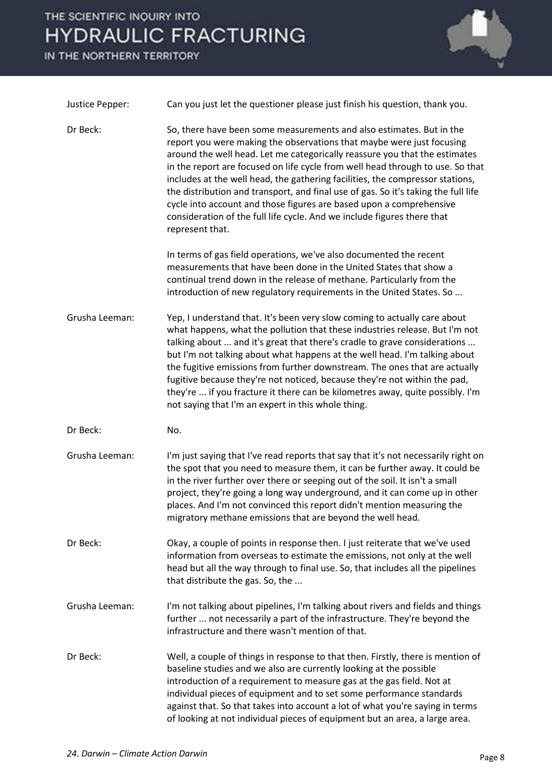### THE SCIENTIFIC INQUIRY INTO **HYDRAULIC FRACTURING**

IN THE NORTHERN TERRITORY



| Justice Pepper: | Can you just let the questioner please just finish his question, thank you.                                                                                                                                                                                                                                                                                                                                                                                                                                                                                                                                                                               |
|-----------------|-----------------------------------------------------------------------------------------------------------------------------------------------------------------------------------------------------------------------------------------------------------------------------------------------------------------------------------------------------------------------------------------------------------------------------------------------------------------------------------------------------------------------------------------------------------------------------------------------------------------------------------------------------------|
| Dr Beck:        | So, there have been some measurements and also estimates. But in the<br>report you were making the observations that maybe were just focusing<br>around the well head. Let me categorically reassure you that the estimates<br>in the report are focused on life cycle from well head through to use. So that<br>includes at the well head, the gathering facilities, the compressor stations,<br>the distribution and transport, and final use of gas. So it's taking the full life<br>cycle into account and those figures are based upon a comprehensive<br>consideration of the full life cycle. And we include figures there that<br>represent that. |
|                 | In terms of gas field operations, we've also documented the recent<br>measurements that have been done in the United States that show a<br>continual trend down in the release of methane. Particularly from the<br>introduction of new regulatory requirements in the United States. So                                                                                                                                                                                                                                                                                                                                                                  |
| Grusha Leeman:  | Yep, I understand that. It's been very slow coming to actually care about<br>what happens, what the pollution that these industries release. But I'm not<br>talking about  and it's great that there's cradle to grave considerations<br>but I'm not talking about what happens at the well head. I'm talking about<br>the fugitive emissions from further downstream. The ones that are actually<br>fugitive because they're not noticed, because they're not within the pad,<br>they're  if you fracture it there can be kilometres away, quite possibly. I'm<br>not saying that I'm an expert in this whole thing.                                     |
| Dr Beck:        | No.                                                                                                                                                                                                                                                                                                                                                                                                                                                                                                                                                                                                                                                       |
| Grusha Leeman:  | I'm just saying that I've read reports that say that it's not necessarily right on<br>the spot that you need to measure them, it can be further away. It could be<br>in the river further over there or seeping out of the soil. It isn't a small<br>project, they're going a long way underground, and it can come up in other<br>places. And I'm not convinced this report didn't mention measuring the<br>migratory methane emissions that are beyond the well head.                                                                                                                                                                                   |
| Dr Beck:        | Okay, a couple of points in response then. I just reiterate that we've used<br>information from overseas to estimate the emissions, not only at the well<br>head but all the way through to final use. So, that includes all the pipelines<br>that distribute the gas. So, the                                                                                                                                                                                                                                                                                                                                                                            |
| Grusha Leeman:  | I'm not talking about pipelines, I'm talking about rivers and fields and things<br>further  not necessarily a part of the infrastructure. They're beyond the<br>infrastructure and there wasn't mention of that.                                                                                                                                                                                                                                                                                                                                                                                                                                          |
| Dr Beck:        | Well, a couple of things in response to that then. Firstly, there is mention of<br>baseline studies and we also are currently looking at the possible<br>introduction of a requirement to measure gas at the gas field. Not at<br>individual pieces of equipment and to set some performance standards<br>against that. So that takes into account a lot of what you're saying in terms<br>of looking at not individual pieces of equipment but an area, a large area.                                                                                                                                                                                    |